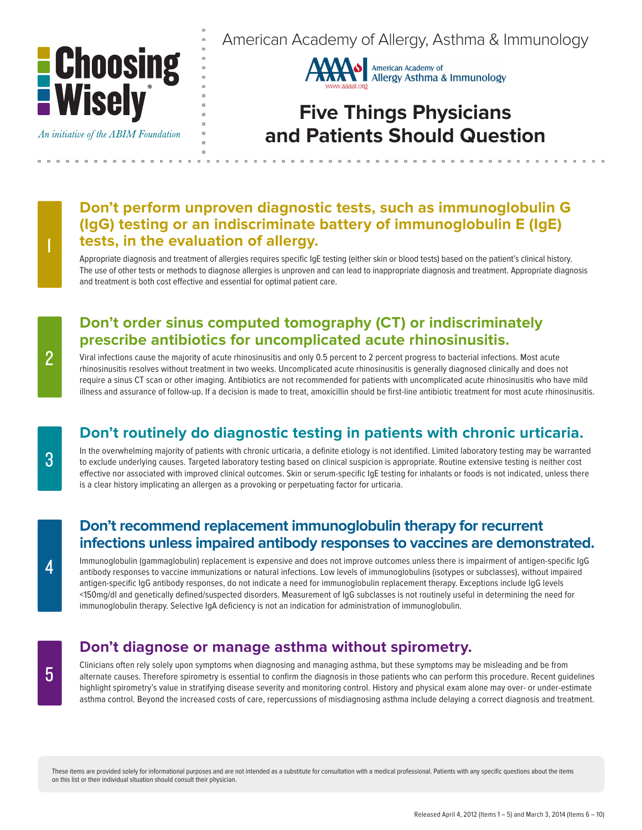

An initiative of the ABIM Foundation

American Academy of Allergy, Asthma & Immunology



# **Five Things Physicians and Patients Should Question**

# **Don't perform unproven diagnostic tests, such as immunoglobulin G (IgG) testing or an indiscriminate battery of immunoglobulin E (IgE) tests, in the evaluation of allergy.**

Appropriate diagnosis and treatment of allergies requires specific IgE testing (either skin or blood tests) based on the patient's clinical history. The use of other tests or methods to diagnose allergies is unproven and can lead to inappropriate diagnosis and treatment. Appropriate diagnosis and treatment is both cost effective and essential for optimal patient care.

# **Don't order sinus computed tomography (CT) or indiscriminately prescribe antibiotics for uncomplicated acute rhinosinusitis.**

Viral infections cause the majority of acute rhinosinusitis and only 0.5 percent to 2 percent progress to bacterial infections. Most acute rhinosinusitis resolves without treatment in two weeks. Uncomplicated acute rhinosinusitis is generally diagnosed clinically and does not require a sinus CT scan or other imaging. Antibiotics are not recommended for patients with uncomplicated acute rhinosinusitis who have mild illness and assurance of follow-up. If a decision is made to treat, amoxicillin should be first-line antibiotic treatment for most acute rhinosinusitis.

# **Don't routinely do diagnostic testing in patients with chronic urticaria.**

In the overwhelming majority of patients with chronic urticaria, a definite etiology is not identified. Limited laboratory testing may be warranted to exclude underlying causes. Targeted laboratory testing based on clinical suspicion is appropriate. Routine extensive testing is neither cost effective nor associated with improved clinical outcomes. Skin or serum-specific IgE testing for inhalants or foods is not indicated, unless there is a clear history implicating an allergen as a provoking or perpetuating factor for urticaria.

#### **Don't recommend replacement immunoglobulin therapy for recurrent infections unless impaired antibody responses to vaccines are demonstrated.**

Immunoglobulin (gammaglobulin) replacement is expensive and does not improve outcomes unless there is impairment of antigen-specific IgG antibody responses to vaccine immunizations or natural infections. Low levels of immunoglobulins (isotypes or subclasses), without impaired antigen-specific IgG antibody responses, do not indicate a need for immunoglobulin replacement therapy. Exceptions include IgG levels <150mg/dl and genetically defined/suspected disorders. Measurement of IgG subclasses is not routinely useful in determining the need for immunoglobulin therapy. Selective IgA deficiency is not an indication for administration of immunoglobulin.

# **Don't diagnose or manage asthma without spirometry.**

Clinicians often rely solely upon symptoms when diagnosing and managing asthma, but these symptoms may be misleading and be from alternate causes. Therefore spirometry is essential to confirm the diagnosis in those patients who can perform this procedure. Recent guidelines highlight spirometry's value in stratifying disease severity and monitoring control. History and physical exam alone may over- or under-estimate asthma control. Beyond the increased costs of care, repercussions of misdiagnosing asthma include delaying a correct diagnosis and treatment.

These items are provided solely for informational purposes and are not intended as a substitute for consultation with a medical professional. Patients with any specific questions about the items on this list or their individual situation should consult their physician.

1

3

5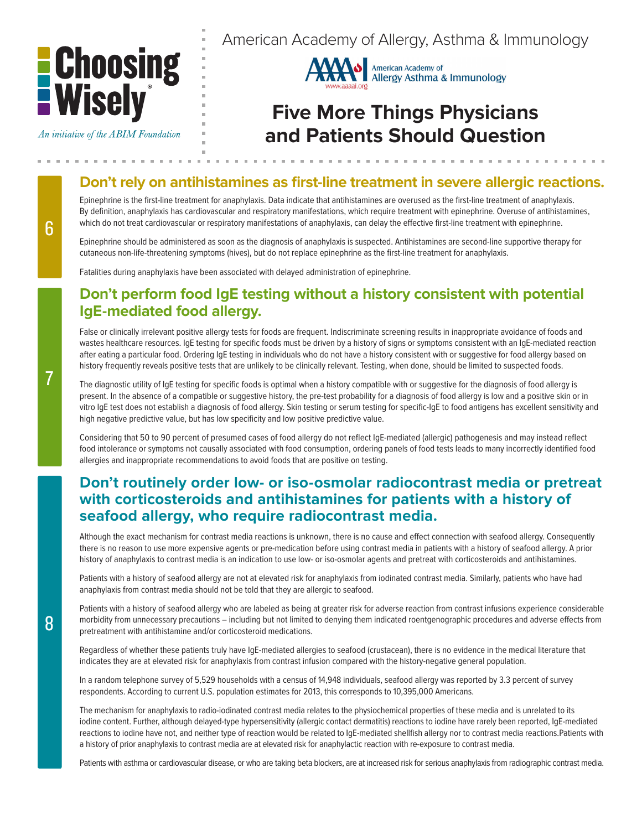

An initiative of the ABIM Foundation



# **Five More Things Physicians and Patients Should Question**

# **Don't rely on antihistamines as first-line treatment in severe allergic reactions.**

Epinephrine is the first-line treatment for anaphylaxis. Data indicate that antihistamines are overused as the first-line treatment of anaphylaxis. By definition, anaphylaxis has cardiovascular and respiratory manifestations, which require treatment with epinephrine. Overuse of antihistamines, which do not treat cardiovascular or respiratory manifestations of anaphylaxis, can delay the effective first-line treatment with epinephrine.

Epinephrine should be administered as soon as the diagnosis of anaphylaxis is suspected. Antihistamines are second-line supportive therapy for cutaneous non-life-threatening symptoms (hives), but do not replace epinephrine as the first-line treatment for anaphylaxis.

Fatalities during anaphylaxis have been associated with delayed administration of epinephrine.

#### **Don't perform food IgE testing without a history consistent with potential IgE-mediated food allergy.**

False or clinically irrelevant positive allergy tests for foods are frequent. Indiscriminate screening results in inappropriate avoidance of foods and wastes healthcare resources. IgE testing for specific foods must be driven by a history of signs or symptoms consistent with an IgE-mediated reaction after eating a particular food. Ordering IgE testing in individuals who do not have a history consistent with or suggestive for food allergy based on history frequently reveals positive tests that are unlikely to be clinically relevant. Testing, when done, should be limited to suspected foods.

The diagnostic utility of IgE testing for specific foods is optimal when a history compatible with or suggestive for the diagnosis of food allergy is present. In the absence of a compatible or suggestive history, the pre-test probability for a diagnosis of food allergy is low and a positive skin or in vitro IgE test does not establish a diagnosis of food allergy. Skin testing or serum testing for specific-IgE to food antigens has excellent sensitivity and high negative predictive value, but has low specificity and low positive predictive value.

Considering that 50 to 90 percent of presumed cases of food allergy do not reflect IgE-mediated (allergic) pathogenesis and may instead reflect food intolerance or symptoms not causally associated with food consumption, ordering panels of food tests leads to many incorrectly identified food allergies and inappropriate recommendations to avoid foods that are positive on testing.

### **Don't routinely order low- or iso-osmolar radiocontrast media or pretreat with corticosteroids and antihistamines for patients with a history of seafood allergy, who require radiocontrast media.**

Although the exact mechanism for contrast media reactions is unknown, there is no cause and effect connection with seafood allergy. Consequently there is no reason to use more expensive agents or pre-medication before using contrast media in patients with a history of seafood allergy. A prior history of anaphylaxis to contrast media is an indication to use low- or iso-osmolar agents and pretreat with corticosteroids and antihistamines.

Patients with a history of seafood allergy are not at elevated risk for anaphylaxis from iodinated contrast media. Similarly, patients who have had anaphylaxis from contrast media should not be told that they are allergic to seafood.

Patients with a history of seafood allergy who are labeled as being at greater risk for adverse reaction from contrast infusions experience considerable morbidity from unnecessary precautions – including but not limited to denying them indicated roentgenographic procedures and adverse effects from pretreatment with antihistamine and/or corticosteroid medications.

Regardless of whether these patients truly have IgE-mediated allergies to seafood (crustacean), there is no evidence in the medical literature that indicates they are at elevated risk for anaphylaxis from contrast infusion compared with the history-negative general population.

In a random telephone survey of 5,529 households with a census of 14,948 individuals, seafood allergy was reported by 3.3 percent of survey respondents. According to current U.S. population estimates for 2013, this corresponds to 10,395,000 Americans.

The mechanism for anaphylaxis to radio-iodinated contrast media relates to the physiochemical properties of these media and is unrelated to its iodine content. Further, although delayed-type hypersensitivity (allergic contact dermatitis) reactions to iodine have rarely been reported, IgE-mediated reactions to iodine have not, and neither type of reaction would be related to IgE-mediated shellfish allergy nor to contrast media reactions.Patients with a history of prior anaphylaxis to contrast media are at elevated risk for anaphylactic reaction with re-exposure to contrast media.

Patients with asthma or cardiovascular disease, or who are taking beta blockers, are at increased risk for serious anaphylaxis from radiographic contrast media.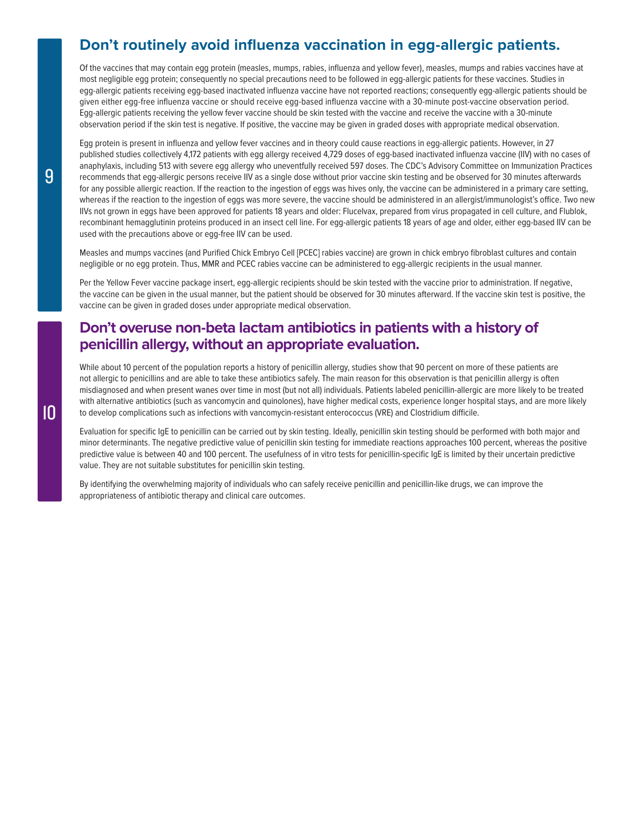#### **Don't routinely avoid influenza vaccination in egg-allergic patients.**

Of the vaccines that may contain egg protein (measles, mumps, rabies, influenza and yellow fever), measles, mumps and rabies vaccines have at most negligible egg protein; consequently no special precautions need to be followed in egg-allergic patients for these vaccines. Studies in egg-allergic patients receiving egg-based inactivated influenza vaccine have not reported reactions; consequently egg-allergic patients should be given either egg-free influenza vaccine or should receive egg-based influenza vaccine with a 30-minute post-vaccine observation period. Egg-allergic patients receiving the yellow fever vaccine should be skin tested with the vaccine and receive the vaccine with a 30-minute observation period if the skin test is negative. If positive, the vaccine may be given in graded doses with appropriate medical observation.

Egg protein is present in influenza and yellow fever vaccines and in theory could cause reactions in egg-allergic patients. However, in 27 published studies collectively 4,172 patients with egg allergy received 4,729 doses of egg-based inactivated influenza vaccine (IIV) with no cases of anaphylaxis, including 513 with severe egg allergy who uneventfully received 597 doses. The CDC's Advisory Committee on Immunization Practices recommends that egg-allergic persons receive IIV as a single dose without prior vaccine skin testing and be observed for 30 minutes afterwards for any possible allergic reaction. If the reaction to the ingestion of eggs was hives only, the vaccine can be administered in a primary care setting, whereas if the reaction to the ingestion of eggs was more severe, the vaccine should be administered in an allergist/immunologist's office. Two new IIVs not grown in eggs have been approved for patients 18 years and older: Flucelvax, prepared from virus propagated in cell culture, and Flublok, recombinant hemagglutinin proteins produced in an insect cell line. For egg-allergic patients 18 years of age and older, either egg-based IIV can be used with the precautions above or egg-free IIV can be used.

Measles and mumps vaccines (and Purified Chick Embryo Cell [PCEC] rabies vaccine) are grown in chick embryo fibroblast cultures and contain negligible or no egg protein. Thus, MMR and PCEC rabies vaccine can be administered to egg-allergic recipients in the usual manner.

Per the Yellow Fever vaccine package insert, egg-allergic recipients should be skin tested with the vaccine prior to administration. If negative, the vaccine can be given in the usual manner, but the patient should be observed for 30 minutes afterward. If the vaccine skin test is positive, the vaccine can be given in graded doses under appropriate medical observation.

#### **Don't overuse non-beta lactam antibiotics in patients with a history of penicillin allergy, without an appropriate evaluation.**

While about 10 percent of the population reports a history of penicillin allergy, studies show that 90 percent on more of these patients are not allergic to penicillins and are able to take these antibiotics safely. The main reason for this observation is that penicillin allergy is often misdiagnosed and when present wanes over time in most (but not all) individuals. Patients labeled penicillin-allergic are more likely to be treated with alternative antibiotics (such as vancomycin and quinolones), have higher medical costs, experience longer hospital stays, and are more likely to develop complications such as infections with vancomycin-resistant enterococcus (VRE) and Clostridium difficile.

Evaluation for specific IgE to penicillin can be carried out by skin testing. Ideally, penicillin skin testing should be performed with both major and minor determinants. The negative predictive value of penicillin skin testing for immediate reactions approaches 100 percent, whereas the positive predictive value is between 40 and 100 percent. The usefulness of in vitro tests for penicillin-specific IgE is limited by their uncertain predictive value. They are not suitable substitutes for penicillin skin testing.

By identifying the overwhelming majority of individuals who can safely receive penicillin and penicillin-like drugs, we can improve the appropriateness of antibiotic therapy and clinical care outcomes.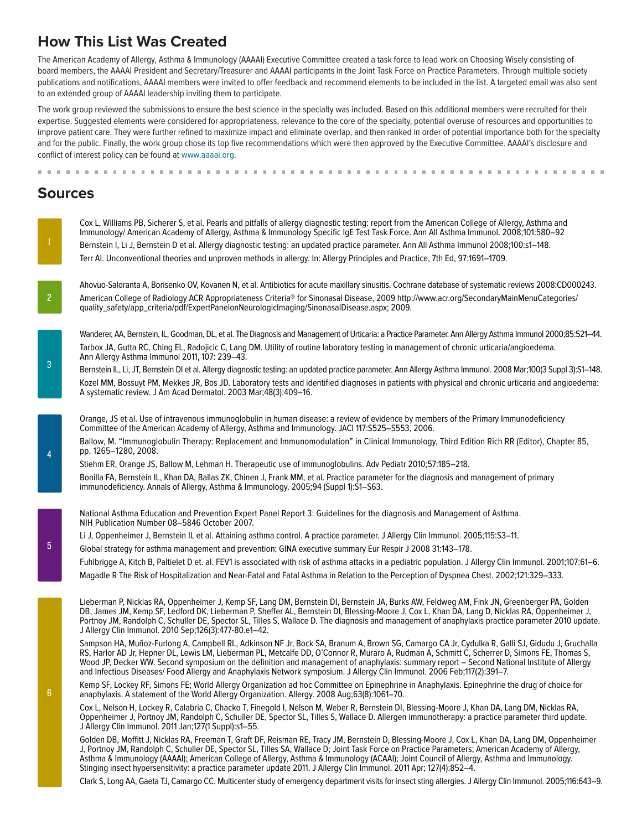# **How This List Was Created**

. . . . . . . . . . . . .

The American Academy of Allergy, Asthma & Immunology (AAAAI) Executive Committee created a task force to lead work on Choosing Wisely consisting of board members, the AAAAI President and Secretary/Treasurer and AAAAI participants in the Joint Task Force on Practice Parameters. Through multiple society publications and notifications, AAAAI members were invited to offer feedback and recommend elements to be included in the list. A targeted email was also sent to an extended group of AAAAI leadership inviting them to participate.

The work group reviewed the submissions to ensure the best science in the specialty was included. Based on this additional members were recruited for their expertise. Suggested elements were considered for appropriateness, relevance to the core of the specialty, potential overuse of resources and opportunities to improve patient care. They were further refined to maximize impact and eliminate overlap, and then ranked in order of potential importance both for the specialty and for the public. Finally, the work group chose its top five recommendations which were then approved by the Executive Committee. AAAAI's disclosure and conflict of interest policy can be found at [www.aaaai.org](http://www.aaaai.org).

### **Sources**

Cox L, Williams PB, Sicherer S, et al. Pearls and pitfalls of allergy diagnostic testing: report from the American College of Allergy, Asthma and Immunology/ American Academy of Allergy, Asthma & Immunology Specific IgE Test Task Force. Ann All Asthma Immunol. 2008;101:580–92 Bernstein I, Li J, Bernstein D et al. Allergy diagnostic testing: an updated practice parameter. Ann All Asthma Immunol 2008;100:s1–148. Terr AI. Unconventional theories and unproven methods in allergy. In: Allergy Principles and Practice, 7th Ed, 97:1691–1709.

Ahovuo-Saloranta A, Borisenko OV, Kovanen N, et al. Antibiotics for acute maxillary sinusitis. Cochrane database of systematic reviews 2008:CD000243. American College of Radiology ACR Appropriateness Criteria® for Sinonasal Disease, 2009 http://www.acr.org/SecondaryMainMenuCategories/ quality\_safety/app\_criteria/pdf/ExpertPanelonNeurologicImaging/SinonasalDisease.aspx; 2009.

Wanderer, AA, Bernstein, IL, Goodman, DL, et al. The Diagnosis and Management of Urticaria: a Practice Parameter. Ann Allergy Asthma Immunol 2000;85:521–44. Tarbox JA, Gutta RC, Ching EL, Radojicic C, Lang DM. Utility of routine laboratory testing in management of chronic urticaria/angioedema. Ann Allergy Asthma Immunol 2011, 107: 239–43.

Bernstein IL, Li, JT, Bernstein DI et al. Allergy diagnostic testing: an updated practice parameter. Ann Allergy Asthma Immunol. 2008 Mar;100(3 Suppl 3):S1-148. Kozel MM, Bossuyt PM, Mekkes JR, Bos JD. Laboratory tests and identified diagnoses in patients with physical and chronic urticaria and angioedema: A systematic review. J Am Acad Dermatol. 2003 Mar;48(3):409–16.

Orange, JS et al. Use of intravenous immunoglobulin in human disease: a review of evidence by members of the Primary Immunodeficiency Committee of the American Academy of Allergy, Asthma and Immunology. JACI 117:S525–S553, 2006.

Ballow, M. "Immunoglobulin Therapy: Replacement and Immunomodulation" in Clinical Immunology, Third Edition Rich RR (Editor), Chapter 85, pp. 1265–1280, 2008.

Stiehm ER, Orange JS, Ballow M, Lehman H. Therapeutic use of immunoglobulins. Adv Pediatr 2010;57:185–218. Bonilla FA, Bernstein IL, Khan DA, Ballas ZK, Chinen J, Frank MM, et al. Practice parameter for the diagnosis and management of primary immunodeficiency. Annals of Allergy, Asthma & Immunology. 2005;94 (Suppl 1):S1–S63.

National Asthma Education and Prevention Expert Panel Report 3: Guidelines for the diagnosis and Management of Asthma. NIH Publication Number 08–5846 October 2007.

Li J, Oppenheimer J, Bernstein IL et al. Attaining asthma control. A practice parameter. J Allergy Clin Immunol. 2005;115:S3–11.

Global strategy for asthma management and prevention: GINA executive summary Eur Respir J 2008 31:143–178.

Fuhlbrigge A, Kitch B, Paltielet D et. al. FEV1 is associated with risk of asthma attacks in a pediatric population. J Allergy Clin Immunol. 2001;107:61–6.

Magadle R The Risk of Hospitalization and Near-Fatal and Fatal Asthma in Relation to the Perception of Dyspnea Chest. 2002;121:329–333.

Lieberman P, Nicklas RA, Oppenheimer J, Kemp SF, Lang DM, Bernstein DI, Bernstein JA, Burks AW, Feldweg AM, Fink JN, Greenberger PA, Golden DB, James JM, Kemp SF, Ledford DK, Lieberman P, Sheffer AL, Bernstein DI, Blessing-Moore J, Cox L, Khan DA, Lang D, Nicklas RA, Oppenheimer J, Portnoy JM, Randolph C, Schuller DE, Spector SL, Tilles S, Wallace D. The diagnosis and management of anaphylaxis practice parameter 2010 update. J Allergy Clin Immunol. 2010 Sep;126(3):477-80.e1–42.

Sampson HA, Muñoz-Furlong A, Campbell RL, Adkinson NF Jr, Bock SA, Branum A, Brown SG, Camargo CA Jr, Cydulka R, Galli SJ, Gidudu J, Gruchalla RS, Harlor AD Jr, Hepner DL, Lewis LM, Lieberman PL, Metcalfe DD, O'Connor R, Muraro A, Rudman A, Schmitt C, Scherrer D, Simons FE, Thomas S, Wood JP, Decker WW. Second symposium on the definition and management of anaphylaxis: summary report – Second National Institute of Allergy and Infectious Diseases/ Food Allergy and Anaphylaxis Network symposium. J Allergy Clin Immunol. 2006 Feb;117(2):391–7.

Kemp SF, Lockey RF, Simons FE; World Allergy Organization ad hoc Committee on Epinephrine in Anaphylaxis. Epinephrine the drug of choice for anaphylaxis. A statement of the World Allergy Organization. Allergy. 2008 Aug;63(8):1061–70.

Cox L, Nelson H, Lockey R, Calabria C, Chacko T, Finegold I, Nelson M, Weber R, Bernstein DI, Blessing-Moore J, Khan DA, Lang DM, Nicklas RA, Oppenheimer J, Portnoy JM, Randolph C, Schuller DE, Spector SL, Tilles S, Wallace D. Allergen immunotherapy: a practice parameter third update. J Allergy Clin Immunol. 2011 Jan;127(1 Suppl):s1–55.

Golden DB, Moffitt J, Nicklas RA, Freeman T, Graft DF, Reisman RE, Tracy JM, Bernstein D, Blessing-Moore J, Cox L, Khan DA, Lang DM, Oppenheimer J, Portnoy JM, Randolph C, Schuller DE, Spector SL, Tilles SA, Wallace D; Joint Task Force on Practice Parameters; American Academy of Allergy, Asthma & Immunology (AAAAI); American College of Allergy, Asthma & Immunology (ACAAI); Joint Council of Allergy, Asthma and Immunology. Stinging insect hypersensitivity: a practice parameter update 2011. J Allergy Clin Immunol. 2011 Apr; 127(4):852–4.

Clark S, Long AA, Gaeta TJ, Camargo CC. Multicenter study of emergency department visits for insect sting allergies. J Allergy Clin Immunol. 2005;116:643–9.

2

1

3

4